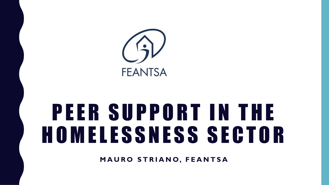

# PEER SUPPORT IN THE H O M E L E S S N E S S S E C T O R

**M A U R O S T R I A N O, F E A N T S A**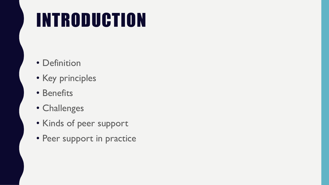## INTRODUCTION

- Definition
- Key principles
- Benefits
- Challenges
- Kinds of peer support
- Peer support in practice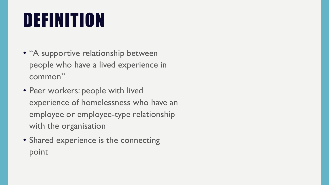## DEFINITION

- "A supportive relationship between people who have a lived experience in common"
- Peer workers: people with lived experience of homelessness who have an employee or employee-type relationship with the organisation
- Shared experience is the connecting point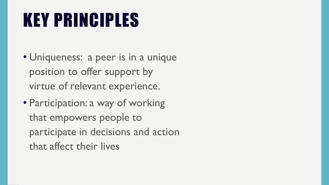## KEY PRINCIPLES

- Uniqueness: a peer is in a unique position to offer support by virtue of relevant experience.
- Participation: a way of working that empowers people to participate in decisions and action that affect their lives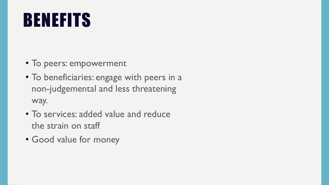#### BENEFITS

- To peers: empowerment
- To beneficiaries: engage with peers in a non-judgemental and less threatening way.
- To services: added value and reduce the strain on staff
- Good value for money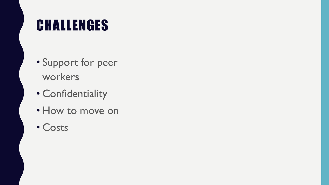#### CHALLENGES

- Support for peer workers
- Confidentiality
- How to move on
- Costs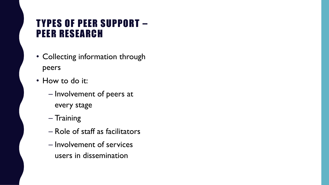#### T YPES OF PEER SUPPORT – PEER RESEARCH

- Collecting information through peers
- How to do it:
	- Involvement of peers at every stage
	- Training
	- Role of staff as facilitators
	- Involvement of services users in dissemination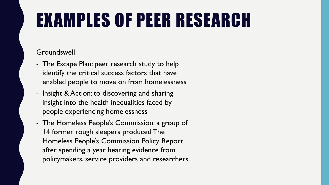## EXAMPLES OF PEER RESEARCH

#### Groundswell

- The Escape Plan: peer research study to help identify the critical success factors that have enabled people to move on from homelessness
- Insight & Action: to discovering and sharing insight into the health inequalities faced by people experiencing homelessness
- The Homeless People's Commission: a group of 14 former rough sleepers produced The Homeless People's Commission Policy Report after spending a year hearing evidence from policymakers, service providers and researchers.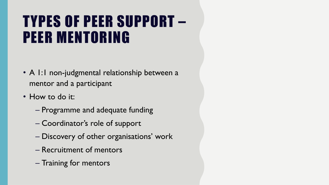#### TYPES OF PEER SUPPORT – PEER MENTORING

- A I:I non-judgmental relationship between a mentor and a participant
- How to do it:
	- Programme and adequate funding
	- Coordinator's role of support
	- Discovery of other organisations' work
	- Recruitment of mentors
	- Training for mentors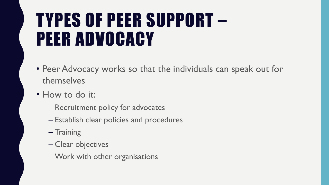#### TYPES OF PEER SUPPORT – PEER ADVOCACY

- Peer Advocacy works so that the individuals can speak out for themselves
- How to do it:
	- Recruitment policy for advocates
	- Establish clear policies and procedures
	- Training
	- Clear objectives
	- Work with other organisations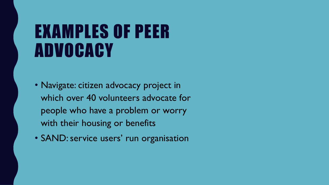#### EXAMPLES OF PEER ADVOCACY

- Navigate: citizen advocacy project in which over 40 volunteers advocate for people who have a problem or worry with their housing or benefits
- SAND: service users' run organisation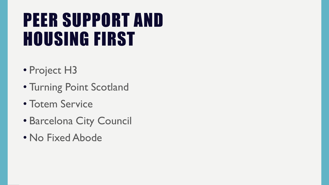#### PEER SUPPORT AND HOUSING FIRST

- Project H3
- Turning Point Scotland
- Totem Service
- Barcelona City Council
- No Fixed Abode